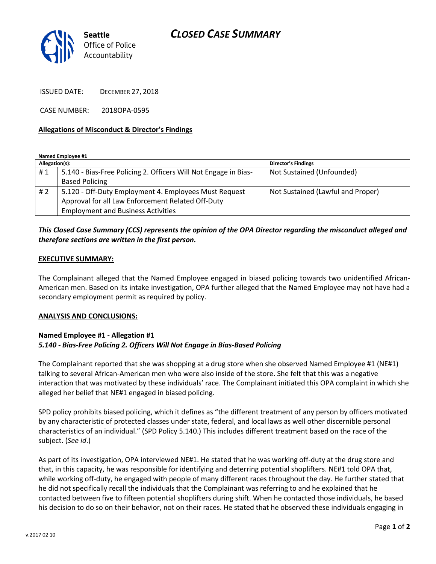# *CLOSED CASE SUMMARY*



ISSUED DATE: DECEMBER 27, 2018

CASE NUMBER: 2018OPA-0595

#### **Allegations of Misconduct & Director's Findings**

**Named Employee #1**

| Allegation(s): |                                                                 | <b>Director's Findings</b>        |
|----------------|-----------------------------------------------------------------|-----------------------------------|
| #1             | 5.140 - Bias-Free Policing 2. Officers Will Not Engage in Bias- | Not Sustained (Unfounded)         |
|                | <b>Based Policing</b>                                           |                                   |
| #2             | 5.120 - Off-Duty Employment 4. Employees Must Request           | Not Sustained (Lawful and Proper) |
|                | Approval for all Law Enforcement Related Off-Duty               |                                   |
|                | <b>Employment and Business Activities</b>                       |                                   |

## *This Closed Case Summary (CCS) represents the opinion of the OPA Director regarding the misconduct alleged and therefore sections are written in the first person.*

#### **EXECUTIVE SUMMARY:**

The Complainant alleged that the Named Employee engaged in biased policing towards two unidentified African-American men. Based on its intake investigation, OPA further alleged that the Named Employee may not have had a secondary employment permit as required by policy.

#### **ANALYSIS AND CONCLUSIONS:**

### **Named Employee #1 - Allegation #1** *5.140 - Bias-Free Policing 2. Officers Will Not Engage in Bias-Based Policing*

The Complainant reported that she was shopping at a drug store when she observed Named Employee #1 (NE#1) talking to several African-American men who were also inside of the store. She felt that this was a negative interaction that was motivated by these individuals' race. The Complainant initiated this OPA complaint in which she alleged her belief that NE#1 engaged in biased policing.

SPD policy prohibits biased policing, which it defines as "the different treatment of any person by officers motivated by any characteristic of protected classes under state, federal, and local laws as well other discernible personal characteristics of an individual." (SPD Policy 5.140.) This includes different treatment based on the race of the subject. (*See id*.)

As part of its investigation, OPA interviewed NE#1. He stated that he was working off-duty at the drug store and that, in this capacity, he was responsible for identifying and deterring potential shoplifters. NE#1 told OPA that, while working off-duty, he engaged with people of many different races throughout the day. He further stated that he did not specifically recall the individuals that the Complainant was referring to and he explained that he contacted between five to fifteen potential shoplifters during shift. When he contacted those individuals, he based his decision to do so on their behavior, not on their races. He stated that he observed these individuals engaging in